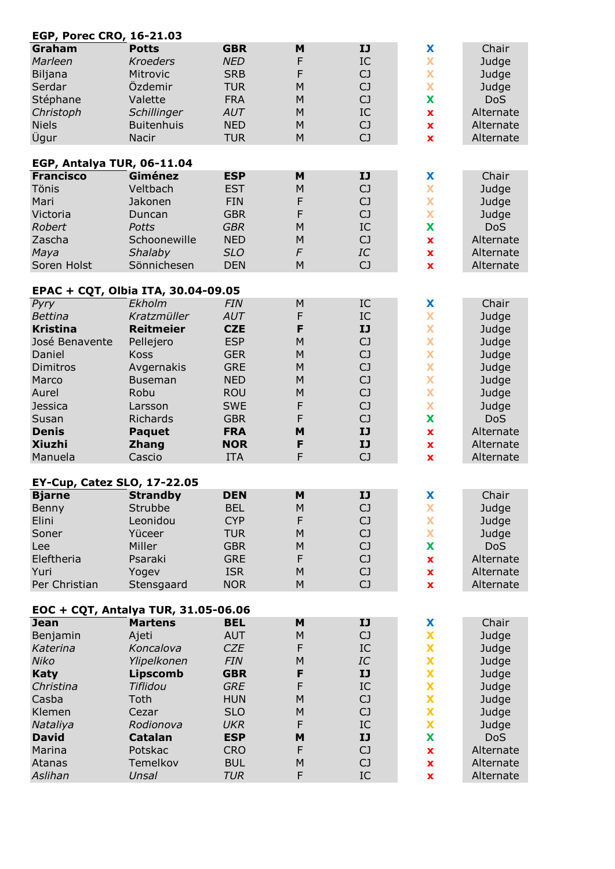| <b>EGP, Porec CRO, 16-21.03</b>                                                                                                                                            |                                                                                                                                                                                 |                                                                                                                                                                             |                                                                          |                                                                                                    |                                                                                                             |                                                                                                                                    |  |  |  |
|----------------------------------------------------------------------------------------------------------------------------------------------------------------------------|---------------------------------------------------------------------------------------------------------------------------------------------------------------------------------|-----------------------------------------------------------------------------------------------------------------------------------------------------------------------------|--------------------------------------------------------------------------|----------------------------------------------------------------------------------------------------|-------------------------------------------------------------------------------------------------------------|------------------------------------------------------------------------------------------------------------------------------------|--|--|--|
| Graham<br>Marleen<br>Biljana<br>Serdar<br>Stéphane<br>Christoph<br><b>Niels</b><br>Ûgur<br>EGP, Antalya TUR, 06-11.04                                                      | <b>Potts</b><br><b>Kroeders</b><br>Mitrovic<br>Özdemir<br>Valette<br>Schillinger<br><b>Buitenhuis</b><br>Nacir                                                                  | <b>GBR</b><br><b>NED</b><br><b>SRB</b><br><b>TUR</b><br><b>FRA</b><br><b>AUT</b><br><b>NED</b><br><b>TUR</b>                                                                | M<br>F<br>F<br>M<br>M<br>M<br>M<br>M                                     | IJ<br>IC<br>CJ<br>CJ<br>CJ<br>IC<br>CJ<br>CJ                                                       | X<br>X<br>X<br>X<br>X<br>$\pmb{\mathsf{x}}$<br>$\pmb{\mathsf{x}}$<br>$\mathbf x$                            | Chair<br>Judge<br>Judge<br>Judge<br><b>DoS</b><br>Alternate<br>Alternate<br>Alternate                                              |  |  |  |
| <b>Francisco</b>                                                                                                                                                           | Giménez                                                                                                                                                                         | <b>ESP</b>                                                                                                                                                                  | M                                                                        | IJ                                                                                                 | X                                                                                                           | Chair                                                                                                                              |  |  |  |
| Tönis<br>Mari<br>Victoria<br><b>Robert</b><br>Zascha<br>Maya<br>Soren Holst                                                                                                | Veltbach<br>Jakonen<br>Duncan<br><b>Potts</b><br>Schoonewille<br>Shalaby<br>Sönnichesen                                                                                         | <b>EST</b><br><b>FIN</b><br><b>GBR</b><br><b>GBR</b><br><b>NED</b><br><b>SLO</b><br><b>DEN</b>                                                                              | M<br>F<br>F<br>M<br>M<br>$\digamma$<br>M                                 | C <sub>J</sub><br>CJ<br>C <sub>J</sub><br>IC<br>CJ<br>IC<br>CJ                                     | X<br>X<br>X<br>X<br>$\mathbf x$<br>$\pmb{\mathsf{x}}$<br>$\mathbf x$                                        | Judge<br>Judge<br>Judge<br><b>DoS</b><br>Alternate<br>Alternate<br>Alternate                                                       |  |  |  |
| EPAC + CQT, Olbia ITA, 30.04-09.05                                                                                                                                         |                                                                                                                                                                                 |                                                                                                                                                                             |                                                                          |                                                                                                    |                                                                                                             |                                                                                                                                    |  |  |  |
| Pyry<br><b>Bettina</b><br><b>Kristina</b><br>José Benavente<br>Daniel<br>Dimitros<br>Marco<br>Aurel<br><b>Jessica</b><br>Susan<br><b>Denis</b><br><b>Xiuzhi</b><br>Manuela | Ekholm<br>Kratzmüller<br><b>Reitmeier</b><br>Pellejero<br><b>Koss</b><br>Avgernakis<br><b>Buseman</b><br>Robu<br>Larsson<br>Richards<br><b>Paquet</b><br><b>Zhang</b><br>Cascio | <b>FIN</b><br>AUT<br><b>CZE</b><br><b>ESP</b><br><b>GER</b><br><b>GRE</b><br><b>NED</b><br><b>ROU</b><br><b>SWE</b><br><b>GBR</b><br><b>FRA</b><br><b>NOR</b><br><b>ITA</b> | M<br>F<br>F<br>M<br>M<br>M<br>M<br>M<br>F<br>F<br>M<br>F<br>F            | IC<br>IC<br>IJ<br>CJ<br>CJ<br>CJ<br>CJ<br>CJ<br>C <sub>J</sub><br>C <sub>J</sub><br>IJ<br>IJ<br>CJ | X<br>X<br>X<br>X<br>X<br>X<br>X<br>X<br>X<br>X<br>$\pmb{\mathsf{x}}$<br>$\pmb{\mathsf{x}}$<br>$\mathbf x$   | Chair<br>Judge<br>Judge<br>Judge<br>Judge<br>Judge<br>Judge<br>Judge<br>Judge<br><b>DoS</b><br>Alternate<br>Alternate<br>Alternate |  |  |  |
|                                                                                                                                                                            |                                                                                                                                                                                 |                                                                                                                                                                             |                                                                          |                                                                                                    |                                                                                                             |                                                                                                                                    |  |  |  |
| <b>EY-Cup, Catez SLO, 17-22.05</b><br><b>Bjarne</b><br>Benny<br>Elini<br>Soner<br>Lee<br>Eleftheria<br>Yuri<br>Per Christian                                               | <b>Strandby</b><br>Strubbe<br>Leonidou<br>Yüceer<br>Miller<br>Psaraki<br>Yogev<br>Stensgaard                                                                                    | <b>DEN</b><br><b>BEL</b><br><b>CYP</b><br><b>TUR</b><br><b>GBR</b><br><b>GRE</b><br><b>ISR</b><br><b>NOR</b>                                                                | M<br>M<br>F<br>M<br>M<br>F<br>M<br>M                                     | IJ<br>C <sub>J</sub><br>CJ<br>CJ<br>CJ<br>CJ<br>CJ<br>CJ                                           | X<br>X<br>X<br>$\overline{\mathbf{x}}$<br>X<br>$\pmb{\mathsf{x}}$<br>$\pmb{\mathsf{x}}$<br>$\mathbf x$      | Chair<br>Judge<br>Judge<br>Judge<br><b>DoS</b><br>Alternate<br>Alternate<br>Alternate                                              |  |  |  |
| EOC + CQT, Antalya TUR, 31.05-06.06<br><b>Jean</b>                                                                                                                         | <b>Martens</b>                                                                                                                                                                  | <b>BEL</b>                                                                                                                                                                  | M                                                                        | IJ                                                                                                 | X                                                                                                           | Chair                                                                                                                              |  |  |  |
| Benjamin<br>Katerina<br>Niko<br><b>Katy</b><br>Christina<br>Casba<br>Klemen<br>Nataliya<br><b>David</b><br>Marina<br>Atanas<br>Aslihan                                     | Ajeti<br>Koncalova<br>Ylipelkonen<br><b>Lipscomb</b><br>Tiflidou<br>Toth<br>Cezar<br>Rodionova<br><b>Catalan</b><br>Potskac<br>Temelkov<br>Unsal                                | <b>AUT</b><br><b>CZE</b><br><b>FIN</b><br><b>GBR</b><br><b>GRE</b><br><b>HUN</b><br><b>SLO</b><br><b>UKR</b><br><b>ESP</b><br><b>CRO</b><br><b>BUL</b><br><b>TUR</b>        | ${\sf M}$<br>F<br>M<br>F<br>F<br>M<br>M<br>F<br>M<br>F<br>${\sf M}$<br>F | CJ<br>IC<br>$\cal IC$<br>IJ<br>IC<br>CJ<br>CJ<br>IC<br>IJ<br>CJ<br>CJ<br>IC                        | X<br>X<br>X<br>X<br>X<br>X<br>X<br>X<br>X<br>$\pmb{\mathsf{x}}$<br>$\pmb{\mathsf{x}}$<br>$\pmb{\mathsf{x}}$ | Judge<br>Judge<br>Judge<br>Judge<br>Judge<br>Judge<br>Judge<br>Judge<br><b>DoS</b><br>Alternate<br>Alternate<br>Alternate          |  |  |  |